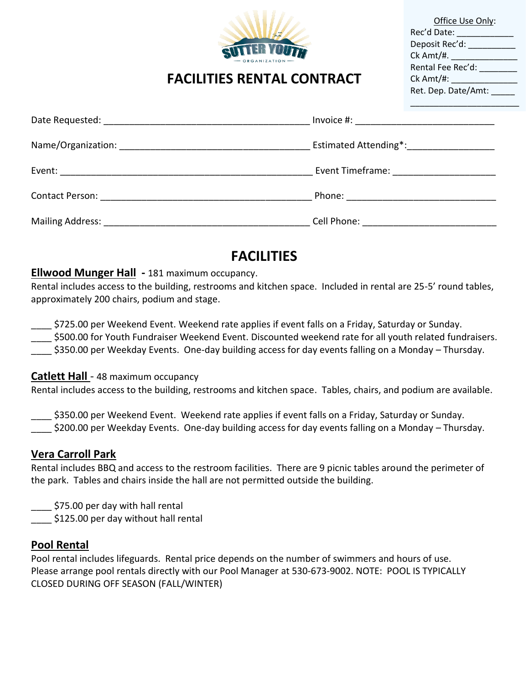

| Office Use Only:     |
|----------------------|
| Rec'd Date: __       |
| Deposit Rec'd: _____ |
| Ck Amt/#.            |
| Rental Fee Rec'd: _  |
| Ck Amt/#: ___        |
| Ret. Dep. Date/Amt:  |
|                      |

# **FACILITIES RENTAL CONTRACT**

| Invoice #: _____________________________        |
|-------------------------------------------------|
| Estimated Attending*:____________________       |
|                                                 |
|                                                 |
| Cell Phone: <u>____________________________</u> |

# **FACILITIES**

### **Ellwood Munger Hall -** 181 maximum occupancy.

Rental includes access to the building, restrooms and kitchen space. Included in rental are 25-5' round tables, approximately 200 chairs, podium and stage.

\_\_\_\_ \$725.00 per Weekend Event. Weekend rate applies if event falls on a Friday, Saturday or Sunday.

\$500.00 for Youth Fundraiser Weekend Event. Discounted weekend rate for all youth related fundraisers.

\$350.00 per Weekday Events. One-day building access for day events falling on a Monday – Thursday.

#### **Catlett Hall** - 48 maximum occupancy

Rental includes access to the building, restrooms and kitchen space. Tables, chairs, and podium are available.

\_\_\_\_ \$350.00 per Weekend Event. Weekend rate applies if event falls on a Friday, Saturday or Sunday.

\_\_\_\_ \$200.00 per Weekday Events. One-day building access for day events falling on a Monday – Thursday.

### **Vera Carroll Park**

Rental includes BBQ and access to the restroom facilities. There are 9 picnic tables around the perimeter of the park. Tables and chairs inside the hall are not permitted outside the building.

\$75.00 per day with hall rental

\$125.00 per day without hall rental

### **Pool Rental**

Pool rental includes lifeguards. Rental price depends on the number of swimmers and hours of use. Please arrange pool rentals directly with our Pool Manager at 530-673-9002. NOTE: POOL IS TYPICALLY CLOSED DURING OFF SEASON (FALL/WINTER)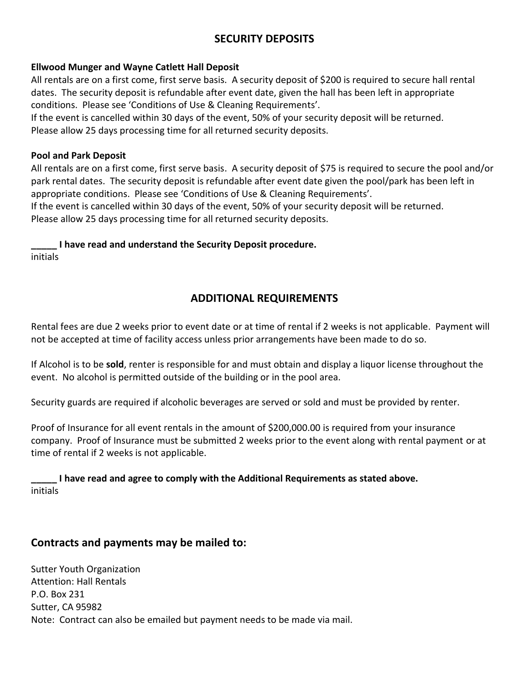## **SECURITY DEPOSITS**

#### **Ellwood Munger and Wayne Catlett Hall Deposit**

All rentals are on a first come, first serve basis. A security deposit of \$200 is required to secure hall rental dates. The security deposit is refundable after event date, given the hall has been left in appropriate conditions. Please see 'Conditions of Use & Cleaning Requirements'.

If the event is cancelled within 30 days of the event, 50% of your security deposit will be returned. Please allow 25 days processing time for all returned security deposits.

#### **Pool and Park Deposit**

All rentals are on a first come, first serve basis. A security deposit of \$75 is required to secure the pool and/or park rental dates. The security deposit is refundable after event date given the pool/park has been left in appropriate conditions. Please see 'Conditions of Use & Cleaning Requirements'.

If the event is cancelled within 30 days of the event, 50% of your security deposit will be returned. Please allow 25 days processing time for all returned security deposits.

#### **\_\_\_\_\_ I have read and understand the Security Deposit procedure.**

initials

### **ADDITIONAL REQUIREMENTS**

Rental fees are due 2 weeks prior to event date or at time of rental if 2 weeks is not applicable. Payment will not be accepted at time of facility access unless prior arrangements have been made to do so.

If Alcohol is to be **sold**, renter is responsible for and must obtain and display a liquor license throughout the event. No alcohol is permitted outside of the building or in the pool area.

Security guards are required if alcoholic beverages are served or sold and must be provided by renter.

Proof of Insurance for all event rentals in the amount of \$200,000.00 is required from your insurance company. Proof of Insurance must be submitted 2 weeks prior to the event along with rental payment or at time of rental if 2 weeks is not applicable.

**\_\_\_\_\_ I have read and agree to comply with the Additional Requirements as stated above.** initials

### **Contracts and payments may be mailed to:**

Sutter Youth Organization Attention: Hall Rentals P.O. Box 231 Sutter, CA 95982 Note: Contract can also be emailed but payment needs to be made via mail.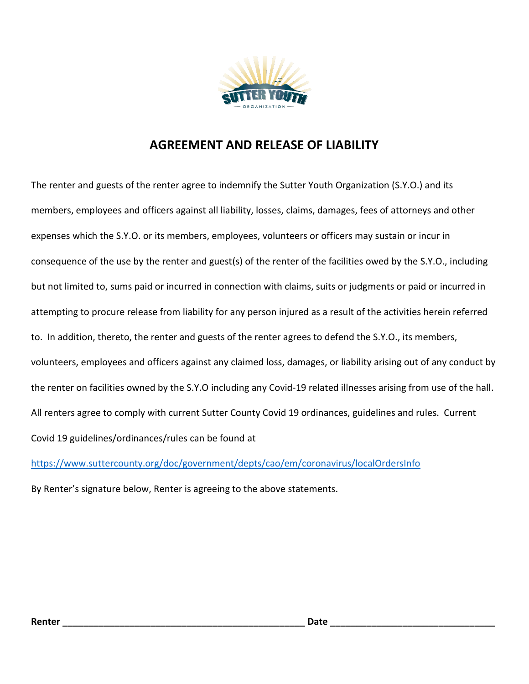

## **AGREEMENT AND RELEASE OF LIABILITY**

The renter and guests of the renter agree to indemnify the Sutter Youth Organization (S.Y.O.) and its members, employees and officers against all liability, losses, claims, damages, fees of attorneys and other expenses which the S.Y.O. or its members, employees, volunteers or officers may sustain or incur in consequence of the use by the renter and guest(s) of the renter of the facilities owed by the S.Y.O., including but not limited to, sums paid or incurred in connection with claims, suits or judgments or paid or incurred in attempting to procure release from liability for any person injured as a result of the activities herein referred to. In addition, thereto, the renter and guests of the renter agrees to defend the S.Y.O., its members, volunteers, employees and officers against any claimed loss, damages, or liability arising out of any conduct by the renter on facilities owned by the S.Y.O including any Covid-19 related illnesses arising from use of the hall. All renters agree to comply with current Sutter County Covid 19 ordinances, guidelines and rules. Current Covid 19 guidelines/ordinances/rules can be found at

<https://www.suttercounty.org/doc/government/depts/cao/em/coronavirus/localOrdersInfo>

By Renter's signature below, Renter is agreeing to the above statements.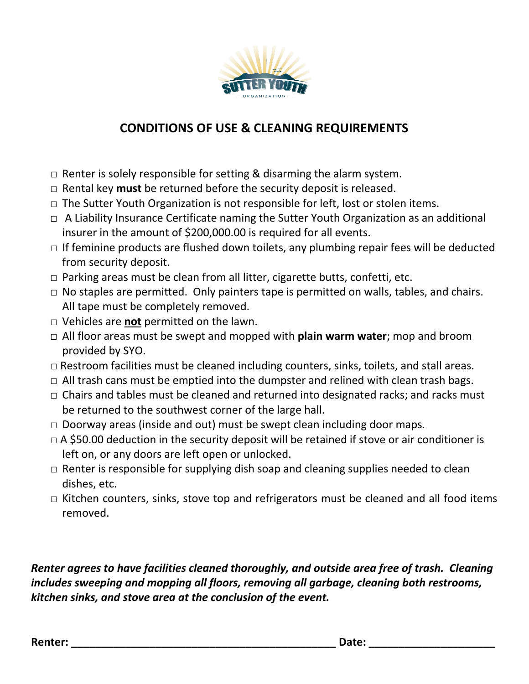

# **CONDITIONS OF USE & CLEANING REQUIREMENTS**

- $\Box$  Renter is solely responsible for setting & disarming the alarm system.
- □ Rental key **must** be returned before the security deposit is released.
- $\Box$  The Sutter Youth Organization is not responsible for left, lost or stolen items.
- $\Box$  A Liability Insurance Certificate naming the Sutter Youth Organization as an additional insurer in the amount of \$200,000.00 is required for all events.
- $\Box$  If feminine products are flushed down toilets, any plumbing repair fees will be deducted from security deposit.
- $\Box$  Parking areas must be clean from all litter, cigarette butts, confetti, etc.
- $\Box$  No staples are permitted. Only painters tape is permitted on walls, tables, and chairs. All tape must be completely removed.
- □ Vehicles are **not** permitted on the lawn.
- □ All floor areas must be swept and mopped with **plain warm water**; mop and broom provided by SYO.
- $\Box$  Restroom facilities must be cleaned including counters, sinks, toilets, and stall areas.
- $\Box$  All trash cans must be emptied into the dumpster and relined with clean trash bags.
- $\Box$  Chairs and tables must be cleaned and returned into designated racks; and racks must be returned to the southwest corner of the large hall.
- $\Box$  Doorway areas (inside and out) must be swept clean including door maps.
- $\Box$  A \$50.00 deduction in the security deposit will be retained if stove or air conditioner is left on, or any doors are left open or unlocked.
- $\Box$  Renter is responsible for supplying dish soap and cleaning supplies needed to clean dishes, etc.
- $\Box$  Kitchen counters, sinks, stove top and refrigerators must be cleaned and all food items removed.

*Renter agrees to have facilities cleaned thoroughly, and outside area free of trash. Cleaning includes sweeping and mopping all floors, removing all garbage, cleaning both restrooms, kitchen sinks, and stove area at the conclusion of the event.*

**Renter: \_\_\_\_\_\_\_\_\_\_\_\_\_\_\_\_\_\_\_\_\_\_\_\_\_\_\_\_\_\_\_\_\_\_\_\_\_\_\_\_\_\_\_\_ Date: \_\_\_\_\_\_\_\_\_\_\_\_\_\_\_\_\_\_\_\_\_**